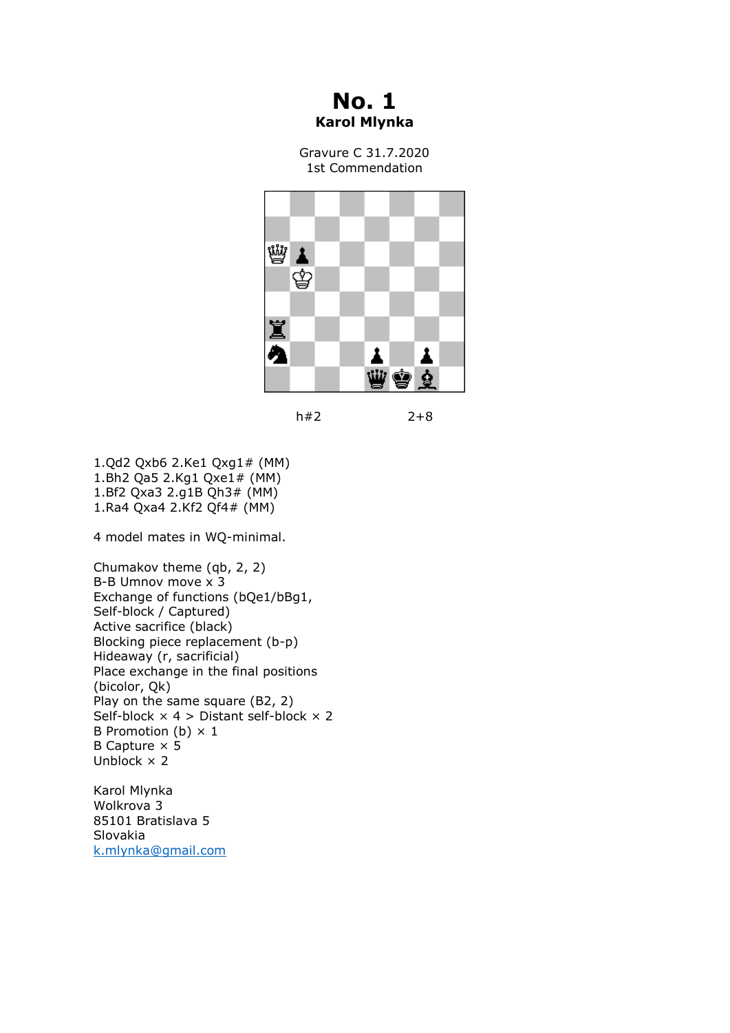## **No. 1 Karol Mlynka**

Gravure C 31.7.2020 1st Commendation



 $h#2$  2+8

1.Qd2 Qxb6 2.Ke1 Qxg1# (MM) 1.Bh2 Qa5 2.Kg1 Qxe1# (MM) 1.Bf2 Qxa3 2.g1B Qh3# (MM) 1.Ra4 Qxa4 2.Kf2 Qf4# (MM)

4 model mates in WQ-minimal.

Chumakov theme (qb, 2, 2) B-B Umnov move x 3 Exchange of functions (bQe1/bBg1, Self-block / Captured) Active sacrifice (black) Blocking piece replacement (b-p) Hideaway (r, sacrificial) Place exchange in the final positions (bicolor, Qk) Play on the same square (B2, 2) Self-block  $\times$  4 > Distant self-block  $\times$  2 B Promotion (b)  $\times$  1 B Capture  $\times$  5 Unblock  $\times$  2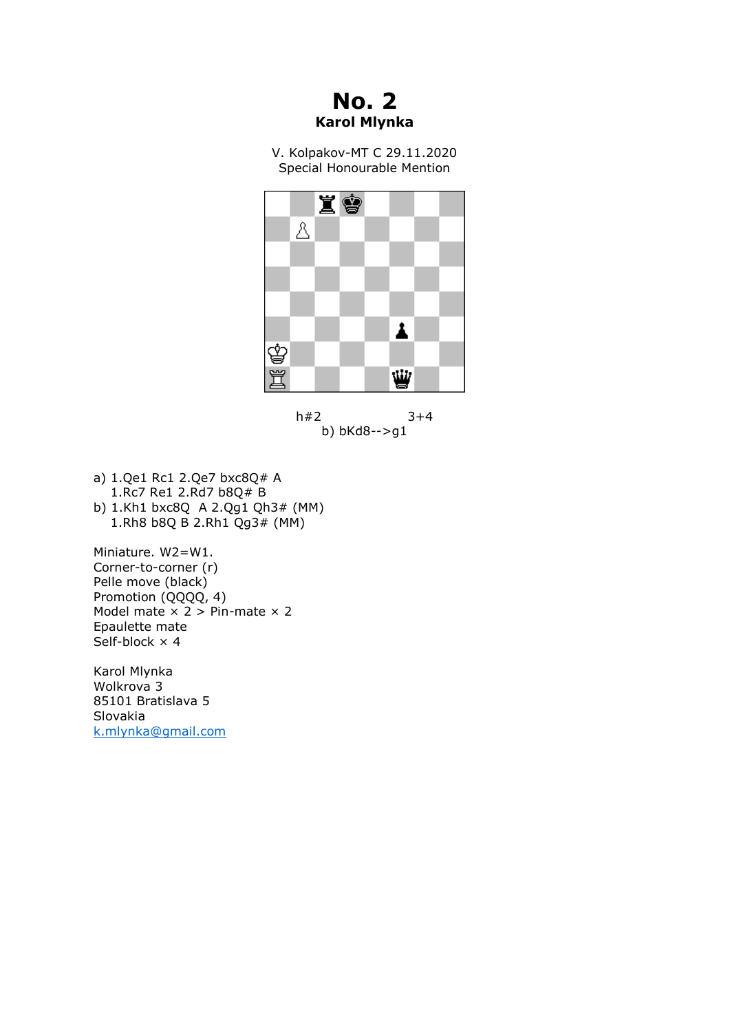**No. 2 Karol Mlynka**

V. Kolpakov-MT C 29.11.2020 Special Honourable Mention





- a) 1.Qe1 Rc1 2.Qe7 bxc8Q# A 1.Rc7 Re1 2.Rd7 b8Q# B
- b) 1.Kh1 bxc8Q A 2.Qg1 Qh3# (MM) 1.Rh8 b8Q B 2.Rh1 Qg3# (MM)

Miniature. W2=W1. Corner-to-corner (r) Pelle move (black) Promotion (QQQQ, 4) Model mate  $\times$  2 > Pin-mate  $\times$  2 Epaulette mate  $Self-block \times 4$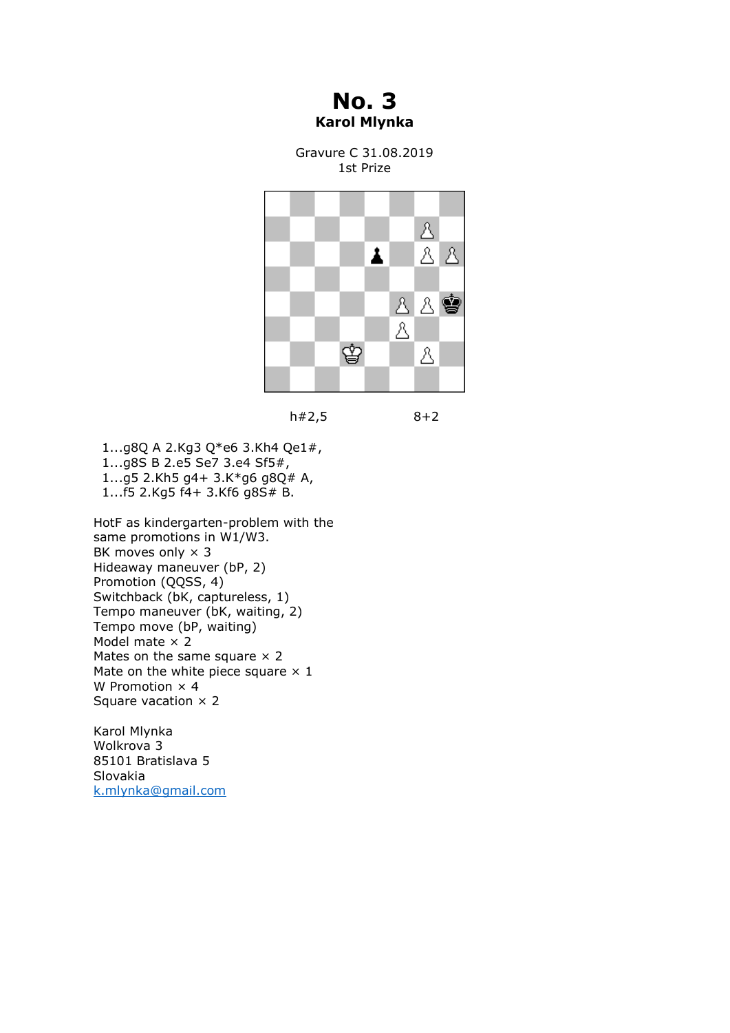**No. 3 Karol Mlynka**

Gravure C 31.08.2019 1st Prize





 1...g8Q A 2.Kg3 Q\*e6 3.Kh4 Qe1#, 1...g8S B 2.e5 Se7 3.e4 Sf5#, 1...g5 2.Kh5 g4+ 3.K\*g6 g8Q# A, 1...f5 2.Kg5 f4+ 3.Kf6 g8S# B.

HotF as kindergarten-problem with the same promotions in W1/W3. BK moves only  $\times$  3 Hideaway maneuver (bP, 2) Promotion (QQSS, 4) Switchback (bK, captureless, 1) Tempo maneuver (bK, waiting, 2) Tempo move (bP, waiting) Model mate  $\times 2$ Mates on the same square  $\times$  2 Mate on the white piece square  $\times$  1 W Promotion  $\times$  4 Square vacation  $\times$  2